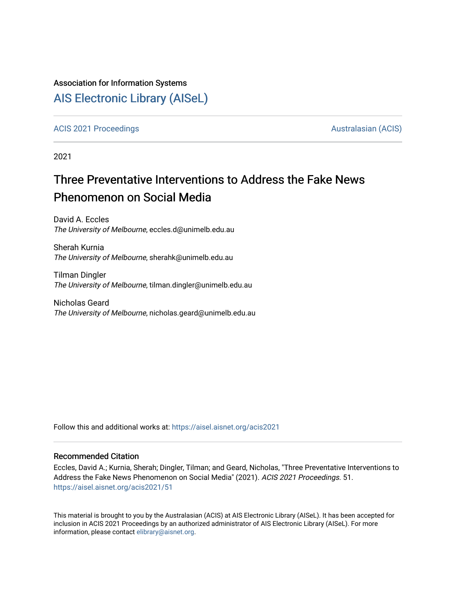#### Association for Information Systems

## [AIS Electronic Library \(AISeL\)](https://aisel.aisnet.org/)

[ACIS 2021 Proceedings](https://aisel.aisnet.org/acis2021) [Australasian \(ACIS\)](https://aisel.aisnet.org/acis) Australasian (ACIS)

2021

# Three Preventative Interventions to Address the Fake News Phenomenon on Social Media

David A. Eccles The University of Melbourne, eccles.d@unimelb.edu.au

Sherah Kurnia The University of Melbourne, sherahk@unimelb.edu.au

Tilman Dingler The University of Melbourne, tilman.dingler@unimelb.edu.au

Nicholas Geard The University of Melbourne, nicholas.geard@unimelb.edu.au

Follow this and additional works at: [https://aisel.aisnet.org/acis2021](https://aisel.aisnet.org/acis2021?utm_source=aisel.aisnet.org%2Facis2021%2F51&utm_medium=PDF&utm_campaign=PDFCoverPages) 

#### Recommended Citation

Eccles, David A.; Kurnia, Sherah; Dingler, Tilman; and Geard, Nicholas, "Three Preventative Interventions to Address the Fake News Phenomenon on Social Media" (2021). ACIS 2021 Proceedings. 51. [https://aisel.aisnet.org/acis2021/51](https://aisel.aisnet.org/acis2021/51?utm_source=aisel.aisnet.org%2Facis2021%2F51&utm_medium=PDF&utm_campaign=PDFCoverPages)

This material is brought to you by the Australasian (ACIS) at AIS Electronic Library (AISeL). It has been accepted for inclusion in ACIS 2021 Proceedings by an authorized administrator of AIS Electronic Library (AISeL). For more information, please contact [elibrary@aisnet.org.](mailto:elibrary@aisnet.org%3E)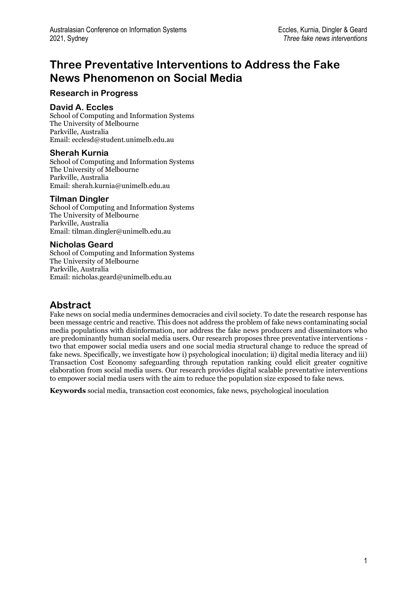# **Three Preventative Interventions to Address the Fake News Phenomenon on Social Media**

### **Research in Progress**

#### **David A. Eccles**

School of Computing and Information Systems The University of Melbourne Parkville, Australia Email: ecclesd@student.unimelb.edu.au

#### **Sherah Kurnia**

School of Computing and Information Systems The University of Melbourne Parkville, Australia Email: sherah.kurnia@unimelb.edu.au

#### **Tilman Dingler**

School of Computing and Information Systems The University of Melbourne Parkville, Australia Email: tilman.dingler@unimelb.edu.au

#### **Nicholas Geard**

School of Computing and Information Systems The University of Melbourne Parkville, Australia Email: nicholas.geard@unimelb.edu.au

## **Abstract**

Fake news on social media undermines democracies and civil society. To date the research response has been message centric and reactive. This does not address the problem of fake news contaminating social media populations with disinformation, nor address the fake news producers and disseminators who are predominantly human social media users. Our research proposes three preventative interventions two that empower social media users and one social media structural change to reduce the spread of fake news. Specifically, we investigate how i) psychological inoculation; ii) digital media literacy and iii) Transaction Cost Economy safeguarding through reputation ranking could elicit greater cognitive elaboration from social media users. Our research provides digital scalable preventative interventions to empower social media users with the aim to reduce the population size exposed to fake news.

**Keywords** social media, transaction cost economics, fake news, psychological inoculation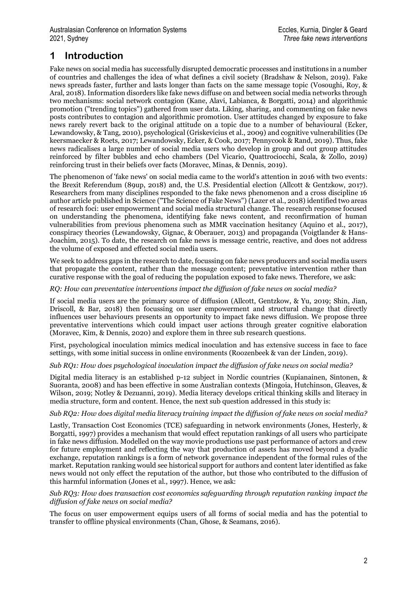## **1 Introduction**

Fake news on social media has successfully disrupted democratic processes and institutions in a number of countries and challenges the idea of what defines a civil society (Bradshaw & Nelson, 2019). Fake news spreads faster, further and lasts longer than facts on the same message topic (Vosoughi, Roy, & Aral, 2018). Information disorders like fake news diffuse on and between social media networks through two mechanisms: social network contagion (Kane, Alavi, Labianca, & Borgatti, 2014) and algorithmic promotion ("trending topics") gathered from user data. Liking, sharing, and commenting on fake news posts contributes to contagion and algorithmic promotion. User attitudes changed by exposure to fake news rarely revert back to the original attitude on a topic due to a number of behavioural (Ecker, Lewandowsky, & Tang, 2010), psychological (Griskevicius et al., 2009) and cognitive vulnerabilities (De keersmaecker & Roets, 2017; Lewandowsky, Ecker, & Cook, 2017; Pennycook & Rand, 2019). Thus, fake news radicalises a large number of social media users who develop in group and out group attitudes reinforced by filter bubbles and echo chambers (Del Vicario, Quattrociocchi, Scala, & Zollo, 2019) reinforcing trust in their beliefs over facts (Moravec, Minas, & Dennis, 2019).

The phenomenon of 'fake news' on social media came to the world's attention in 2016 with two events: the Brexit Referendum (89up, 2018) and, the U.S. Presidential election (Allcott & Gentzkow, 2017). Researchers from many disciplines responded to the fake news phenomenon and a cross discipline 16 author article published in Science ("The Science of Fake News") (Lazer et al., 2018) identified two areas of research foci: user empowerment and social media structural change. The research response focused on understanding the phenomena, identifying fake news content, and reconfirmation of human vulnerabilities from previous phenomena such as MMR vaccination hesitancy (Aquino et al., 2017), conspiracy theories (Lewandowsky, Gignac, & Oberauer, 2013) and propaganda (Voigtlander & Hans-Joachim, 2015). To date, the research on fake news is message centric, reactive, and does not address the volume of exposed and effected social media users.

We seek to address gaps in the research to date, focussing on fake news producers and social media users that propagate the content, rather than the message content; preventative intervention rather than curative response with the goal of reducing the population exposed to fake news. Therefore, we ask:

#### *RQ: How can preventative interventions impact the diffusion of fake news on social media?*

If social media users are the primary source of diffusion (Allcott, Gentzkow, & Yu, 2019; Shin, Jian, Driscoll, & Bar, 2018) then focussing on user empowerment and structural change that directly influences user behaviours presents an opportunity to impact fake news diffusion. We propose three preventative interventions which could impact user actions through greater cognitive elaboration (Moravec, Kim, & Dennis, 2020) and explore them in three sub research questions.

First, psychological inoculation mimics medical inoculation and has extensive success in face to face settings, with some initial success in online environments (Roozenbeek & van der Linden, 2019).

#### *Sub RQ1: How does psychological inoculation impact the diffusion of fake news on social media?*

Digital media literacy is an established p-12 subject in Nordic countries (Kupianainen, Sintonen, & Suoranta, 2008) and has been effective in some Australian contexts (Mingoia, Hutchinson, Gleaves, & Wilson, 2019; Notley & Dezuanni, 2019). Media literacy develops critical thinking skills and literacy in media structure, form and content. Hence, the next sub question addressed in this study is:

#### *Sub RQ2: How does digital media literacy training impact the diffusion of fake news on social media?*

Lastly, Transaction Cost Economics (TCE) safeguarding in network environments (Jones, Hesterly, & Borgatti, 1997) provides a mechanism that would effect reputation rankings of all users who participate in fake news diffusion. Modelled on the way movie productions use past performance of actors and crew for future employment and reflecting the way that production of assets has moved beyond a dyadic exchange, reputation rankings is a form of network governance independent of the formal rules of the market. Reputation ranking would see historical support for authors and content later identified as fake news would not only effect the reputation of the author, but those who contributed to the diffusion of this harmful information (Jones et al., 1997). Hence, we ask:

#### *Sub RQ3: How does transaction cost economics safeguarding through reputation ranking impact the diffusion of fake news on social media?*

The focus on user empowerment equips users of all forms of social media and has the potential to transfer to offline physical environments (Chan, Ghose, & Seamans, 2016).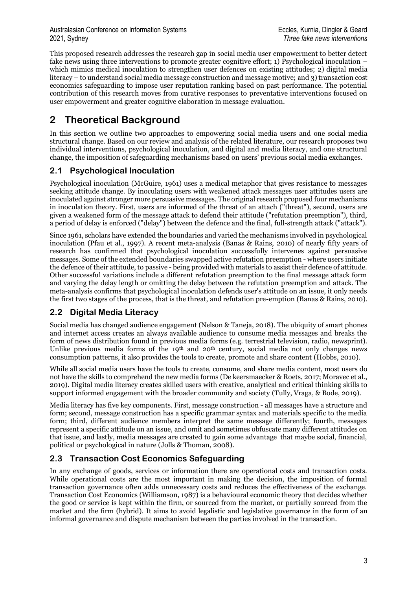This proposed research addresses the research gap in social media user empowerment to better detect fake news using three interventions to promote greater cognitive effort; 1) Psychological inoculation – which mimics medical inoculation to strengthen user defences on existing attitudes; 2) digital media literacy – to understand social media message construction and message motive; and 3) transaction cost economics safeguarding to impose user reputation ranking based on past performance. The potential contribution of this research moves from curative responses to preventative interventions focused on user empowerment and greater cognitive elaboration in message evaluation.

## **2 Theoretical Background**

In this section we outline two approaches to empowering social media users and one social media structural change. Based on our review and analysis of the related literature, our research proposes two individual interventions, psychological inoculation, and digital and media literacy, and one structural change, the imposition of safeguarding mechanisms based on users' previous social media exchanges.

### **2.1 Psychological Inoculation**

Psychological inoculation (McGuire, 1961) uses a medical metaphor that gives resistance to messages seeking attitude change. By inoculating users with weakened attack messages user attitudes users are inoculated against stronger more persuasive messages. The original research proposed four mechanisms in inoculation theory. First, users are informed of the threat of an attach ("threat"), second, users are given a weakened form of the message attack to defend their attitude ("refutation preemption"), third, a period of delay is enforced ("delay") between the defence and the final, full-strength attack ("attack").

Since 1961, scholars have extended the boundaries and varied the mechanisms involved in psychological inoculation (Pfau et al., 1997). A recent meta-analysis (Banas & Rains, 2010) of nearly fifty years of research has confirmed that psychological inoculation successfully intervenes against persuasive messages. Some of the extended boundaries swapped active refutation preemption - where users initiate the defence of their attitude, to passive - being provided with materials to assist their defence of attitude. Other successful variations include a different refutation preemption to the final message attack form and varying the delay length or omitting the delay between the refutation preemption and attack. The meta-analysis confirms that psychological inoculation defends user's attitude on an issue, it only needs the first two stages of the process, that is the threat, and refutation pre-emption (Banas & Rains, 2010).

### **2.2 Digital Media Literacy**

Social media has changed audience engagement (Nelson & Taneja, 2018). The ubiquity of smart phones and internet access creates an always available audience to consume media messages and breaks the form of news distribution found in previous media forms (e.g. terrestrial television, radio, newsprint). Unlike previous media forms of the 19<sup>th</sup> and 20<sup>th</sup> century, social media not only changes news consumption patterns, it also provides the tools to create, promote and share content (Hobbs, 2010).

While all social media users have the tools to create, consume, and share media content, most users do not have the skills to comprehend the new media forms (De keersmaecker & Roets, 2017; Moravec et al., 2019). Digital media literacy creates skilled users with creative, analytical and critical thinking skills to support informed engagement with the broader community and society (Tully, Vraga, & Bode, 2019).

Media literacy has five key components. First, message construction - all messages have a structure and form; second, message construction has a specific grammar syntax and materials specific to the media form; third, different audience members interpret the same message differently; fourth, messages represent a specific attitude on an issue, and omit and sometimes obfuscate many different attitudes on that issue, and lastly, media messages are created to gain some advantage that maybe social, financial, political or psychological in nature (Jolls & Thoman, 2008).

### **2.3 Transaction Cost Economics Safeguarding**

In any exchange of goods, services or information there are operational costs and transaction costs. While operational costs are the most important in making the decision, the imposition of formal transaction governance often adds unnecessary costs and reduces the effectiveness of the exchange. Transaction Cost Economics (Williamson, 1987) is a behavioural economic theory that decides whether the good or service is kept within the firm, or sourced from the market, or partially sourced from the market and the firm (hybrid). It aims to avoid legalistic and legislative governance in the form of an informal governance and dispute mechanism between the parties involved in the transaction.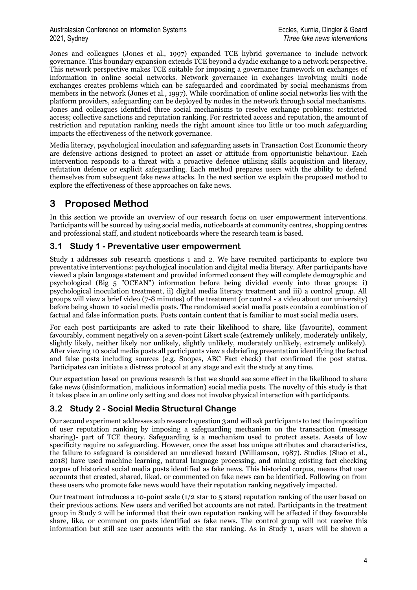Jones and colleagues (Jones et al., 1997) expanded TCE hybrid governance to include network governance. This boundary expansion extends TCE beyond a dyadic exchange to a network perspective. This network perspective makes TCE suitable for imposing a governance framework on exchanges of information in online social networks. Network governance in exchanges involving multi node exchanges creates problems which can be safeguarded and coordinated by social mechanisms from members in the network (Jones et al., 1997). While coordination of online social networks lies with the platform providers, safeguarding can be deployed by nodes in the network through social mechanisms. Jones and colleagues identified three social mechanisms to resolve exchange problems: restricted access; collective sanctions and reputation ranking. For restricted access and reputation, the amount of restriction and reputation ranking needs the right amount since too little or too much safeguarding impacts the effectiveness of the network governance.

Media literacy, psychological inoculation and safeguarding assets in Transaction Cost Economic theory are defensive actions designed to protect an asset or attitude from opportunistic behaviour. Each intervention responds to a threat with a proactive defence utilising skills acquisition and literacy, refutation defence or explicit safeguarding. Each method prepares users with the ability to defend themselves from subsequent fake news attacks. In the next section we explain the proposed method to explore the effectiveness of these approaches on fake news.

## **3 Proposed Method**

In this section we provide an overview of our research focus on user empowerment interventions. Participants will be sourced by using social media, noticeboards at community centres, shopping centres and professional staff, and student noticeboards where the research team is based.

### **3.1 Study 1 - Preventative user empowerment**

Study 1 addresses sub research questions 1 and 2. We have recruited participants to explore two preventative interventions: psychological inoculation and digital media literacy. After participants have viewed a plain language statement and provided informed consent they will complete demographic and psychological (Big 5 "OCEAN") information before being divided evenly into three groups: i) psychological inoculation treatment, ii) digital media literacy treatment and iii) a control group. All groups will view a brief video (7-8 minutes) of the treatment (or control - a video about our university) before being shown 10 social media posts. The randomised social media posts contain a combination of factual and false information posts. Posts contain content that is familiar to most social media users.

For each post participants are asked to rate their likelihood to share, like (favourite), comment favourably, comment negatively on a seven-point Likert scale (extremely unlikely, moderately unlikely, slightly likely, neither likely nor unlikely, slightly unlikely, moderately unlikely, extremely unlikely). After viewing 10 social media posts all participants view a debriefing presentation identifying the factual and false posts including sources (e.g. Snopes, ABC Fact check) that confirmed the post status. Participates can initiate a distress protocol at any stage and exit the study at any time.

Our expectation based on previous research is that we should see some effect in the likelihood to share fake news (disinformation, malicious information) social media posts. The novelty of this study is that it takes place in an online only setting and does not involve physical interaction with participants.

### **3.2 Study 2 - Social Media Structural Change**

Our second experiment addresses sub research question 3 and will ask participants to test the imposition of user reputation ranking by imposing a safeguarding mechanism on the transaction (message sharing)- part of TCE theory. Safeguarding is a mechanism used to protect assets. Assets of low specificity require no safeguarding. However, once the asset has unique attributes and characteristics, the failure to safeguard is considered an unrelieved hazard (Williamson, 1987). Studies (Shao et al., 2018) have used machine learning, natural language processing, and mining existing fact checking corpus of historical social media posts identified as fake news. This historical corpus, means that user accounts that created, shared, liked, or commented on fake news can be identified. Following on from these users who promote fake news would have their reputation ranking negatively impacted.

Our treatment introduces a 10-point scale  $(1/2 \text{ star to } 5 \text{ stars})$  reputation ranking of the user based on their previous actions. New users and verified bot accounts are not rated. Participants in the treatment group in Study 2 will be informed that their own reputation ranking will be affected if they favourable share, like, or comment on posts identified as fake news. The control group will not receive this information but still see user accounts with the star ranking. As in Study 1, users will be shown a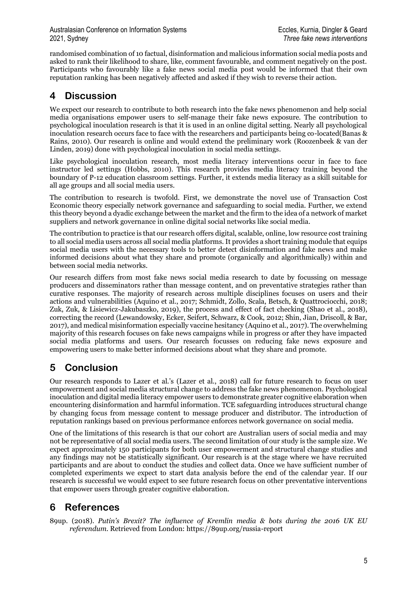randomised combination of 10 factual, disinformation and malicious information social media posts and asked to rank their likelihood to share, like, comment favourable, and comment negatively on the post. Participants who favourably like a fake news social media post would be informed that their own reputation ranking has been negatively affected and asked if they wish to reverse their action.

## **4 Discussion**

We expect our research to contribute to both research into the fake news phenomenon and help social media organisations empower users to self-manage their fake news exposure. The contribution to psychological inoculation research is that it is used in an online digital setting. Nearly all psychological inoculation research occurs face to face with the researchers and participants being co-located(Banas & Rains, 2010). Our research is online and would extend the preliminary work (Roozenbeek & van der Linden, 2019) done with psychological inoculation in social media settings.

Like psychological inoculation research, most media literacy interventions occur in face to face instructor led settings (Hobbs, 2010). This research provides media literacy training beyond the boundary of P-12 education classroom settings. Further, it extends media literacy as a skill suitable for all age groups and all social media users.

The contribution to research is twofold. First, we demonstrate the novel use of Transaction Cost Economic theory especially network governance and safeguarding to social media. Further, we extend this theory beyond a dyadic exchange between the market and the firm to the idea of a network of market suppliers and network governance in online digital social networks like social media.

The contribution to practice is that our research offers digital, scalable, online, low resource cost training to all social media users across all social media platforms. It provides a short training module that equips social media users with the necessary tools to better detect disinformation and fake news and make informed decisions about what they share and promote (organically and algorithmically) within and between social media networks.

Our research differs from most fake news social media research to date by focussing on message producers and disseminators rather than message content, and on preventative strategies rather than curative responses. The majority of research across multiple disciplines focuses on users and their actions and vulnerabilities (Aquino et al., 2017; Schmidt, Zollo, Scala, Betsch, & Quattrociocchi, 2018; Zuk, Zuk, & Lisiewicz-Jakubaszko, 2019), the process and effect of fact checking (Shao et al., 2018), correcting the record (Lewandowsky, Ecker, Seifert, Schwarz, & Cook, 2012; Shin, Jian, Driscoll, & Bar, 2017), and medical misinformation especially vaccine hesitancy (Aquino et al., 2017). The overwhelming majority of this research focuses on fake news campaigns while in progress or after they have impacted social media platforms and users. Our research focusses on reducing fake news exposure and empowering users to make better informed decisions about what they share and promote.

## **5 Conclusion**

Our research responds to Lazer et al.'s (Lazer et al., 2018) call for future research to focus on user empowerment and social media structural change to address the fake news phenomenon. Psychological inoculation and digital media literacy empower users to demonstrate greater cognitive elaboration when encountering disinformation and harmful information. TCE safeguarding introduces structural change by changing focus from message content to message producer and distributor. The introduction of reputation rankings based on previous performance enforces network governance on social media.

One of the limitations of this research is that our cohort are Australian users of social media and may not be representative of all social media users. The second limitation of our study is the sample size. We expect approximately 150 participants for both user empowerment and structural change studies and any findings may not be statistically significant. Our research is at the stage where we have recruited participants and are about to conduct the studies and collect data. Once we have sufficient number of completed experiments we expect to start data analysis before the end of the calendar year. If our research is successful we would expect to see future research focus on other preventative interventions that empower users through greater cognitive elaboration.

# **6 References**

89up. (2018). *Putin's Brexit? The influence of Kremlin media & bots during the 2016 UK EU referendum*. Retrieved from London: https://89up.org/russia-report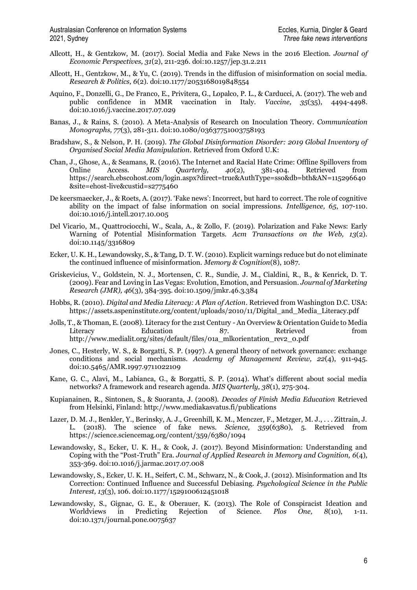- Allcott, H., & Gentzkow, M. (2017). Social Media and Fake News in the 2016 Election. *Journal of Economic Perspectives, 31*(2), 211-236. doi:10.1257/jep.31.2.211
- Allcott, H., Gentzkow, M., & Yu, C. (2019). Trends in the diffusion of misinformation on social media. *Research & Politics, 6*(2). doi:10.1177/2053168019848554
- Aquino, F., Donzelli, G., De Franco, E., Privitera, G., Lopalco, P. L., & Carducci, A. (2017). The web and public confidence in MMR vaccination in Italy. *Vaccine, 35*(35), 4494-4498. doi:10.1016/j.vaccine.2017.07.029
- Banas, J., & Rains, S. (2010). A Meta-Analysis of Research on Inoculation Theory. *Communication Monographs, 77*(3), 281-311. doi:10.1080/03637751003758193
- Bradshaw, S., & Nelson, P. H. (2019). *The Global Disinformation Disorder: 2019 Global Inventory of Organised Social Media Manipulation.* Retrieved from Oxford U.K:
- Chan, J., Ghose, A., & Seamans, R. (2016). The Internet and Racial Hate Crime: Offline Spillovers from Online Access. *MIS Quarterly, 40*(2), 381-404. Retrieved from https://search.ebscohost.com/login.aspx?direct=true&AuthType=sso&db=bth&AN=115296640 &site=ehost-live&custid=s2775460
- De keersmaecker, J., & Roets, A. (2017). 'Fake news': Incorrect, but hard to correct. The role of cognitive ability on the impact of false information on social impressions. *Intelligence, 65*, 107-110. doi:10.1016/j.intell.2017.10.005
- Del Vicario, M., Quattrociocchi, W., Scala, A., & Zollo, F. (2019). Polarization and Fake News: Early Warning of Potential Misinformation Targets. *Acm Transactions on the Web, 13*(2). doi:10.1145/3316809
- Ecker, U. K. H., Lewandowsky, S., & Tang, D. T. W. (2010). Explicit warnings reduce but do not eliminate the continued influence of misinformation. *Memory & Cognition*(8), 1087.
- Griskevicius, V., Goldstein, N. J., Mortensen, C. R., Sundie, J. M., Cialdini, R., B., & Kenrick, D. T. (2009). Fear and Loving in Las Vegas: Evolution, Emotion, and Persuasion. *Journal of Marketing Research (JMR), 46*(3), 384-395. doi:10.1509/jmkr.46.3.384
- Hobbs, R. (2010). *Digital and Media Literacy: A Plan of Action*. Retrieved from Washington D.C. USA: https://assets.aspeninstitute.org/content/uploads/2010/11/Digital and Media Literacy.pdf
- Jolls, T., & Thoman, E. (2008). Literacy for the 21st Century An Overview & Orientation Guide to Media Literacy Education 87. Retrieved from http://www.medialit.org/sites/default/files/01a\_mlkorientation\_rev2\_0.pdf
- Jones, C., Hesterly, W. S., & Borgatti, S. P. (1997). A general theory of network governance: exchange conditions and social mechanisms. *Academy of Management Review, 22*(4), 911-945. doi:10.5465/AMR.1997.9711022109
- Kane, G. C., Alavi, M., Labianca, G., & Borgatti, S. P. (2014). What's different about social media networks? A framework and research agenda. *MIS Quarterly, 38*(1), 275-304.
- Kupianainen, R., Sintonen, S., & Suoranta, J. (2008). *Decades of Finish Media Education* Retrieved from Helsinki, Finland: http://www.mediakasvatus.fi/publications
- Lazer, D. M. J., Benkler, Y., Berinsky, A. J., Greenhill, K. M., Menczer, F., Metzger, M. J., . . . Zittrain, J. L. (2018). The science of fake news. *Science, 359*(6380), 5. Retrieved from https://science.sciencemag.org/content/359/6380/1094
- Lewandowsky, S., Ecker, U. K. H., & Cook, J. (2017). Beyond Misinformation: Understanding and Coping with the "Post-Truth" Era. *Journal of Applied Research in Memory and Cognition, 6*(4), 353-369. doi:10.1016/j.jarmac.2017.07.008
- Lewandowsky, S., Ecker, U. K. H., Seifert, C. M., Schwarz, N., & Cook, J. (2012). Misinformation and Its Correction: Continued Influence and Successful Debiasing. *Psychological Science in the Public Interest, 13*(3), 106. doi:10.1177/1529100612451018
- Lewandowsky, S., Gignac, G. E., & Oberauer, K. (2013). The Role of Conspiracist Ideation and Worldviews in Predicting Rejection of Science. *Plos One, 8*(10), 1-11. doi:10.1371/journal.pone.0075637